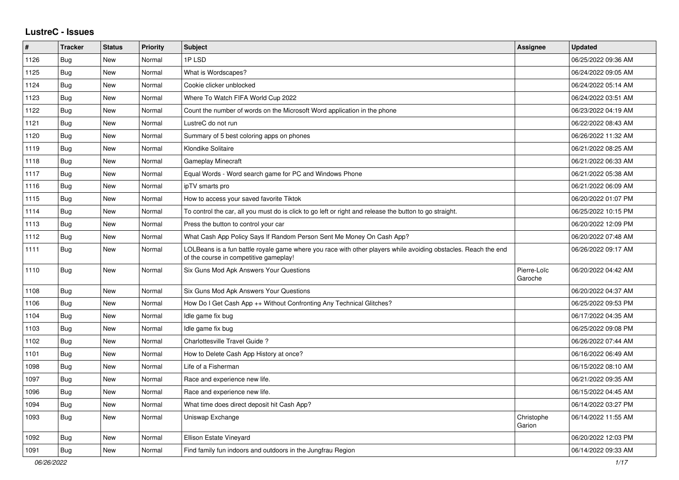## **LustreC - Issues**

| #    | <b>Tracker</b> | <b>Status</b> | <b>Priority</b> | <b>Subject</b>                                                                                                                                           | Assignee               | <b>Updated</b>      |
|------|----------------|---------------|-----------------|----------------------------------------------------------------------------------------------------------------------------------------------------------|------------------------|---------------------|
| 1126 | Bug            | New           | Normal          | 1PLSD                                                                                                                                                    |                        | 06/25/2022 09:36 AM |
| 1125 | Bug            | New           | Normal          | What is Wordscapes?                                                                                                                                      |                        | 06/24/2022 09:05 AM |
| 1124 | Bug            | New           | Normal          | Cookie clicker unblocked                                                                                                                                 |                        | 06/24/2022 05:14 AM |
| 1123 | Bug            | New           | Normal          | Where To Watch FIFA World Cup 2022                                                                                                                       |                        | 06/24/2022 03:51 AM |
| 1122 | <b>Bug</b>     | New           | Normal          | Count the number of words on the Microsoft Word application in the phone                                                                                 |                        | 06/23/2022 04:19 AM |
| 1121 | Bug            | New           | Normal          | LustreC do not run                                                                                                                                       |                        | 06/22/2022 08:43 AM |
| 1120 | <b>Bug</b>     | New           | Normal          | Summary of 5 best coloring apps on phones                                                                                                                |                        | 06/26/2022 11:32 AM |
| 1119 | <b>Bug</b>     | New           | Normal          | Klondike Solitaire                                                                                                                                       |                        | 06/21/2022 08:25 AM |
| 1118 | Bug            | New           | Normal          | <b>Gameplay Minecraft</b>                                                                                                                                |                        | 06/21/2022 06:33 AM |
| 1117 | <b>Bug</b>     | New           | Normal          | Equal Words - Word search game for PC and Windows Phone                                                                                                  |                        | 06/21/2022 05:38 AM |
| 1116 | <b>Bug</b>     | New           | Normal          | ipTV smarts pro                                                                                                                                          |                        | 06/21/2022 06:09 AM |
| 1115 | Bug            | New           | Normal          | How to access your saved favorite Tiktok                                                                                                                 |                        | 06/20/2022 01:07 PM |
| 1114 | Bug            | New           | Normal          | To control the car, all you must do is click to go left or right and release the button to go straight.                                                  |                        | 06/25/2022 10:15 PM |
| 1113 | Bug            | New           | Normal          | Press the button to control your car                                                                                                                     |                        | 06/20/2022 12:09 PM |
| 1112 | Bug            | New           | Normal          | What Cash App Policy Says If Random Person Sent Me Money On Cash App?                                                                                    |                        | 06/20/2022 07:48 AM |
| 1111 | Bug            | New           | Normal          | LOLBeans is a fun battle royale game where you race with other players while avoiding obstacles. Reach the end<br>of the course in competitive gameplay! |                        | 06/26/2022 09:17 AM |
| 1110 | Bug            | New           | Normal          | Six Guns Mod Apk Answers Your Questions                                                                                                                  | Pierre-Loïc<br>Garoche | 06/20/2022 04:42 AM |
| 1108 | <b>Bug</b>     | <b>New</b>    | Normal          | Six Guns Mod Apk Answers Your Questions                                                                                                                  |                        | 06/20/2022 04:37 AM |
| 1106 | Bug            | New           | Normal          | How Do I Get Cash App ++ Without Confronting Any Technical Glitches?                                                                                     |                        | 06/25/2022 09:53 PM |
| 1104 | Bug            | New           | Normal          | Idle game fix bug                                                                                                                                        |                        | 06/17/2022 04:35 AM |
| 1103 | Bug            | New           | Normal          | Idle game fix bug                                                                                                                                        |                        | 06/25/2022 09:08 PM |
| 1102 | Bug            | New           | Normal          | Charlottesville Travel Guide?                                                                                                                            |                        | 06/26/2022 07:44 AM |
| 1101 | <b>Bug</b>     | New           | Normal          | How to Delete Cash App History at once?                                                                                                                  |                        | 06/16/2022 06:49 AM |
| 1098 | Bug            | New           | Normal          | Life of a Fisherman                                                                                                                                      |                        | 06/15/2022 08:10 AM |
| 1097 | Bug            | New           | Normal          | Race and experience new life.                                                                                                                            |                        | 06/21/2022 09:35 AM |
| 1096 | Bug            | New           | Normal          | Race and experience new life.                                                                                                                            |                        | 06/15/2022 04:45 AM |
| 1094 | Bug            | New           | Normal          | What time does direct deposit hit Cash App?                                                                                                              |                        | 06/14/2022 03:27 PM |
| 1093 | Bug            | New           | Normal          | Uniswap Exchange                                                                                                                                         | Christophe<br>Garion   | 06/14/2022 11:55 AM |
| 1092 | Bug            | New           | Normal          | Ellison Estate Vineyard                                                                                                                                  |                        | 06/20/2022 12:03 PM |
| 1091 | Bug            | New           | Normal          | Find family fun indoors and outdoors in the Jungfrau Region                                                                                              |                        | 06/14/2022 09:33 AM |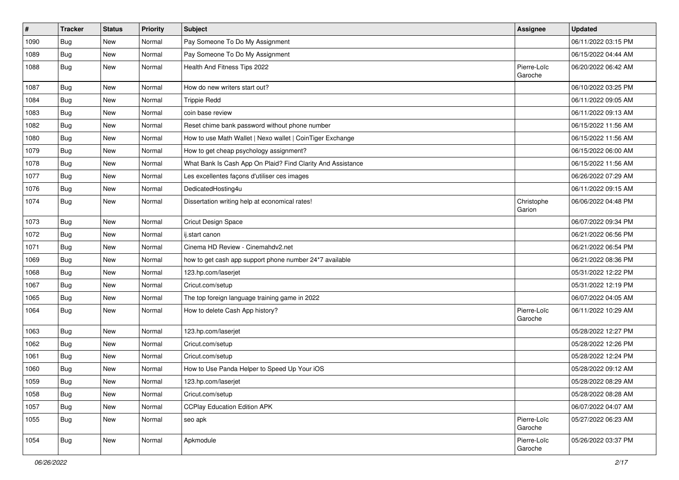| $\pmb{\#}$ | <b>Tracker</b> | <b>Status</b> | <b>Priority</b> | Subject                                                     | <b>Assignee</b>        | <b>Updated</b>      |
|------------|----------------|---------------|-----------------|-------------------------------------------------------------|------------------------|---------------------|
| 1090       | Bug            | New           | Normal          | Pay Someone To Do My Assignment                             |                        | 06/11/2022 03:15 PM |
| 1089       | <b>Bug</b>     | New           | Normal          | Pay Someone To Do My Assignment                             |                        | 06/15/2022 04:44 AM |
| 1088       | Bug            | <b>New</b>    | Normal          | Health And Fitness Tips 2022                                | Pierre-Loïc<br>Garoche | 06/20/2022 06:42 AM |
| 1087       | Bug            | <b>New</b>    | Normal          | How do new writers start out?                               |                        | 06/10/2022 03:25 PM |
| 1084       | <b>Bug</b>     | New           | Normal          | <b>Trippie Redd</b>                                         |                        | 06/11/2022 09:05 AM |
| 1083       | <b>Bug</b>     | New           | Normal          | coin base review                                            |                        | 06/11/2022 09:13 AM |
| 1082       | Bug            | New           | Normal          | Reset chime bank password without phone number              |                        | 06/15/2022 11:56 AM |
| 1080       | <b>Bug</b>     | <b>New</b>    | Normal          | How to use Math Wallet   Nexo wallet   CoinTiger Exchange   |                        | 06/15/2022 11:56 AM |
| 1079       | Bug            | <b>New</b>    | Normal          | How to get cheap psychology assignment?                     |                        | 06/15/2022 06:00 AM |
| 1078       | <b>Bug</b>     | New           | Normal          | What Bank Is Cash App On Plaid? Find Clarity And Assistance |                        | 06/15/2022 11:56 AM |
| 1077       | Bug            | New           | Normal          | Les excellentes façons d'utiliser ces images                |                        | 06/26/2022 07:29 AM |
| 1076       | <b>Bug</b>     | <b>New</b>    | Normal          | DedicatedHosting4u                                          |                        | 06/11/2022 09:15 AM |
| 1074       | <b>Bug</b>     | <b>New</b>    | Normal          | Dissertation writing help at economical rates!              | Christophe<br>Garion   | 06/06/2022 04:48 PM |
| 1073       | <b>Bug</b>     | New           | Normal          | Cricut Design Space                                         |                        | 06/07/2022 09:34 PM |
| 1072       | <b>Bug</b>     | New           | Normal          | ij.start canon                                              |                        | 06/21/2022 06:56 PM |
| 1071       | Bug            | <b>New</b>    | Normal          | Cinema HD Review - Cinemahdv2.net                           |                        | 06/21/2022 06:54 PM |
| 1069       | <b>Bug</b>     | New           | Normal          | how to get cash app support phone number 24*7 available     |                        | 06/21/2022 08:36 PM |
| 1068       | Bug            | New           | Normal          | 123.hp.com/laserjet                                         |                        | 05/31/2022 12:22 PM |
| 1067       | <b>Bug</b>     | <b>New</b>    | Normal          | Cricut.com/setup                                            |                        | 05/31/2022 12:19 PM |
| 1065       | <b>Bug</b>     | <b>New</b>    | Normal          | The top foreign language training game in 2022              |                        | 06/07/2022 04:05 AM |
| 1064       | <b>Bug</b>     | New           | Normal          | How to delete Cash App history?                             | Pierre-Loïc<br>Garoche | 06/11/2022 10:29 AM |
| 1063       | <b>Bug</b>     | <b>New</b>    | Normal          | 123.hp.com/laserjet                                         |                        | 05/28/2022 12:27 PM |
| 1062       | Bug            | <b>New</b>    | Normal          | Cricut.com/setup                                            |                        | 05/28/2022 12:26 PM |
| 1061       | <b>Bug</b>     | New           | Normal          | Cricut.com/setup                                            |                        | 05/28/2022 12:24 PM |
| 1060       | <b>Bug</b>     | New           | Normal          | How to Use Panda Helper to Speed Up Your iOS                |                        | 05/28/2022 09:12 AM |
| 1059       | Bug            | New           | Normal          | 123.hp.com/laserjet                                         |                        | 05/28/2022 08:29 AM |
| 1058       | <b>Bug</b>     | New           | Normal          | Cricut.com/setup                                            |                        | 05/28/2022 08:28 AM |
| 1057       | Bug            | New           | Normal          | <b>CCPlay Education Edition APK</b>                         |                        | 06/07/2022 04:07 AM |
| 1055       | <b>Bug</b>     | New           | Normal          | seo apk                                                     | Pierre-Loïc<br>Garoche | 05/27/2022 06:23 AM |
| 1054       | <b>Bug</b>     | New           | Normal          | Apkmodule                                                   | Pierre-Loïc<br>Garoche | 05/26/2022 03:37 PM |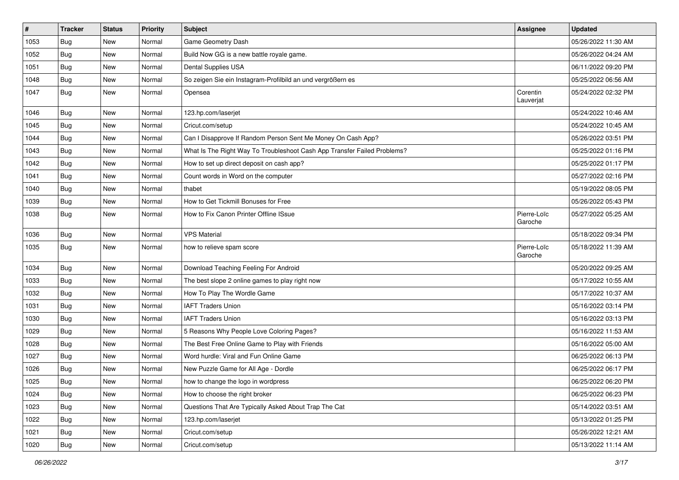| $\vert$ # | <b>Tracker</b> | <b>Status</b> | <b>Priority</b> | <b>Subject</b>                                                           | Assignee               | <b>Updated</b>      |
|-----------|----------------|---------------|-----------------|--------------------------------------------------------------------------|------------------------|---------------------|
| 1053      | <b>Bug</b>     | New           | Normal          | Game Geometry Dash                                                       |                        | 05/26/2022 11:30 AM |
| 1052      | Bug            | New           | Normal          | Build Now GG is a new battle royale game.                                |                        | 05/26/2022 04:24 AM |
| 1051      | Bug            | New           | Normal          | Dental Supplies USA                                                      |                        | 06/11/2022 09:20 PM |
| 1048      | Bug            | New           | Normal          | So zeigen Sie ein Instagram-Profilbild an und vergrößern es              |                        | 05/25/2022 06:56 AM |
| 1047      | <b>Bug</b>     | <b>New</b>    | Normal          | Opensea                                                                  | Corentin<br>Lauverjat  | 05/24/2022 02:32 PM |
| 1046      | Bug            | <b>New</b>    | Normal          | 123.hp.com/laserjet                                                      |                        | 05/24/2022 10:46 AM |
| 1045      | Bug            | <b>New</b>    | Normal          | Cricut.com/setup                                                         |                        | 05/24/2022 10:45 AM |
| 1044      | Bug            | New           | Normal          | Can I Disapprove If Random Person Sent Me Money On Cash App?             |                        | 05/26/2022 03:51 PM |
| 1043      | Bug            | <b>New</b>    | Normal          | What Is The Right Way To Troubleshoot Cash App Transfer Failed Problems? |                        | 05/25/2022 01:16 PM |
| 1042      | Bug            | New           | Normal          | How to set up direct deposit on cash app?                                |                        | 05/25/2022 01:17 PM |
| 1041      | Bug            | New           | Normal          | Count words in Word on the computer                                      |                        | 05/27/2022 02:16 PM |
| 1040      | <b>Bug</b>     | <b>New</b>    | Normal          | thabet                                                                   |                        | 05/19/2022 08:05 PM |
| 1039      | Bug            | New           | Normal          | How to Get Tickmill Bonuses for Free                                     |                        | 05/26/2022 05:43 PM |
| 1038      | <b>Bug</b>     | New           | Normal          | How to Fix Canon Printer Offline ISsue                                   | Pierre-Loïc<br>Garoche | 05/27/2022 05:25 AM |
| 1036      | Bug            | <b>New</b>    | Normal          | <b>VPS Material</b>                                                      |                        | 05/18/2022 09:34 PM |
| 1035      | <b>Bug</b>     | New           | Normal          | how to relieve spam score                                                | Pierre-Loïc<br>Garoche | 05/18/2022 11:39 AM |
| 1034      | Bug            | New           | Normal          | Download Teaching Feeling For Android                                    |                        | 05/20/2022 09:25 AM |
| 1033      | <b>Bug</b>     | <b>New</b>    | Normal          | The best slope 2 online games to play right now                          |                        | 05/17/2022 10:55 AM |
| 1032      | Bug            | New           | Normal          | How To Play The Wordle Game                                              |                        | 05/17/2022 10:37 AM |
| 1031      | <b>Bug</b>     | New           | Normal          | <b>IAFT Traders Union</b>                                                |                        | 05/16/2022 03:14 PM |
| 1030      | Bug            | New           | Normal          | <b>IAFT Traders Union</b>                                                |                        | 05/16/2022 03:13 PM |
| 1029      | <b>Bug</b>     | New           | Normal          | 5 Reasons Why People Love Coloring Pages?                                |                        | 05/16/2022 11:53 AM |
| 1028      | Bug            | <b>New</b>    | Normal          | The Best Free Online Game to Play with Friends                           |                        | 05/16/2022 05:00 AM |
| 1027      | <b>Bug</b>     | New           | Normal          | Word hurdle: Viral and Fun Online Game                                   |                        | 06/25/2022 06:13 PM |
| 1026      | <b>Bug</b>     | New           | Normal          | New Puzzle Game for All Age - Dordle                                     |                        | 06/25/2022 06:17 PM |
| 1025      | Bug            | New           | Normal          | how to change the logo in wordpress                                      |                        | 06/25/2022 06:20 PM |
| 1024      | Bug            | New           | Normal          | How to choose the right broker                                           |                        | 06/25/2022 06:23 PM |
| 1023      | Bug            | New           | Normal          | Questions That Are Typically Asked About Trap The Cat                    |                        | 05/14/2022 03:51 AM |
| 1022      | <b>Bug</b>     | New           | Normal          | 123.hp.com/laserjet                                                      |                        | 05/13/2022 01:25 PM |
| 1021      | <b>Bug</b>     | New           | Normal          | Cricut.com/setup                                                         |                        | 05/26/2022 12:21 AM |
| 1020      | Bug            | New           | Normal          | Cricut.com/setup                                                         |                        | 05/13/2022 11:14 AM |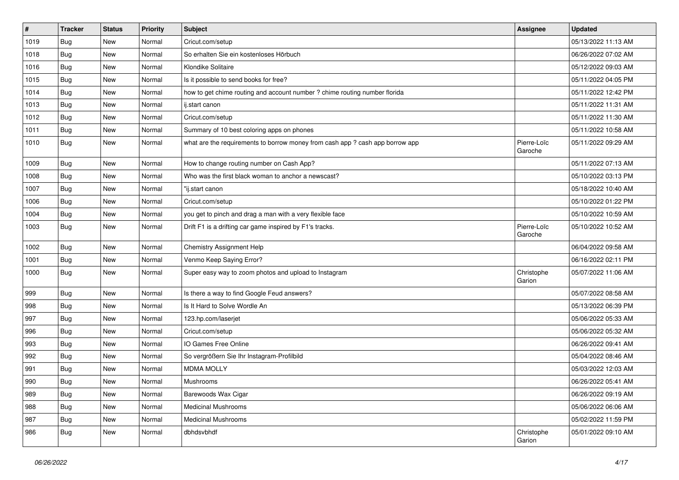| $\vert$ # | <b>Tracker</b> | <b>Status</b> | Priority | Subject                                                                       | Assignee               | <b>Updated</b>      |
|-----------|----------------|---------------|----------|-------------------------------------------------------------------------------|------------------------|---------------------|
| 1019      | Bug            | New           | Normal   | Cricut.com/setup                                                              |                        | 05/13/2022 11:13 AM |
| 1018      | Bug            | New           | Normal   | So erhalten Sie ein kostenloses Hörbuch                                       |                        | 06/26/2022 07:02 AM |
| 1016      | Bug            | New           | Normal   | Klondike Solitaire                                                            |                        | 05/12/2022 09:03 AM |
| 1015      | <b>Bug</b>     | New           | Normal   | Is it possible to send books for free?                                        |                        | 05/11/2022 04:05 PM |
| 1014      | <b>Bug</b>     | New           | Normal   | how to get chime routing and account number ? chime routing number florida    |                        | 05/11/2022 12:42 PM |
| 1013      | Bug            | New           | Normal   | ij.start canon                                                                |                        | 05/11/2022 11:31 AM |
| 1012      | <b>Bug</b>     | New           | Normal   | Cricut.com/setup                                                              |                        | 05/11/2022 11:30 AM |
| 1011      | Bug            | New           | Normal   | Summary of 10 best coloring apps on phones                                    |                        | 05/11/2022 10:58 AM |
| 1010      | Bug            | New           | Normal   | what are the requirements to borrow money from cash app ? cash app borrow app | Pierre-Loïc<br>Garoche | 05/11/2022 09:29 AM |
| 1009      | Bug            | New           | Normal   | How to change routing number on Cash App?                                     |                        | 05/11/2022 07:13 AM |
| 1008      | <b>Bug</b>     | New           | Normal   | Who was the first black woman to anchor a newscast?                           |                        | 05/10/2022 03:13 PM |
| 1007      | <b>Bug</b>     | New           | Normal   | "ij.start canon                                                               |                        | 05/18/2022 10:40 AM |
| 1006      | Bug            | New           | Normal   | Cricut.com/setup                                                              |                        | 05/10/2022 01:22 PM |
| 1004      | Bug            | New           | Normal   | you get to pinch and drag a man with a very flexible face                     |                        | 05/10/2022 10:59 AM |
| 1003      | Bug            | New           | Normal   | Drift F1 is a drifting car game inspired by F1's tracks.                      | Pierre-Loïc<br>Garoche | 05/10/2022 10:52 AM |
| 1002      | <b>Bug</b>     | New           | Normal   | <b>Chemistry Assignment Help</b>                                              |                        | 06/04/2022 09:58 AM |
| 1001      | Bug            | New           | Normal   | Venmo Keep Saying Error?                                                      |                        | 06/16/2022 02:11 PM |
| 1000      | <b>Bug</b>     | New           | Normal   | Super easy way to zoom photos and upload to Instagram                         | Christophe<br>Garion   | 05/07/2022 11:06 AM |
| 999       | Bug            | New           | Normal   | Is there a way to find Google Feud answers?                                   |                        | 05/07/2022 08:58 AM |
| 998       | Bug            | New           | Normal   | Is It Hard to Solve Wordle An                                                 |                        | 05/13/2022 06:39 PM |
| 997       | <b>Bug</b>     | New           | Normal   | 123.hp.com/laserjet                                                           |                        | 05/06/2022 05:33 AM |
| 996       | <b>Bug</b>     | New           | Normal   | Cricut.com/setup                                                              |                        | 05/06/2022 05:32 AM |
| 993       | Bug            | New           | Normal   | IO Games Free Online                                                          |                        | 06/26/2022 09:41 AM |
| 992       | <b>Bug</b>     | New           | Normal   | So vergrößern Sie Ihr Instagram-Profilbild                                    |                        | 05/04/2022 08:46 AM |
| 991       | <b>Bug</b>     | New           | Normal   | <b>MDMA MOLLY</b>                                                             |                        | 05/03/2022 12:03 AM |
| 990       | <b>Bug</b>     | New           | Normal   | Mushrooms                                                                     |                        | 06/26/2022 05:41 AM |
| 989       | Bug            | New           | Normal   | Barewoods Wax Cigar                                                           |                        | 06/26/2022 09:19 AM |
| 988       | Bug            | New           | Normal   | Medicinal Mushrooms                                                           |                        | 05/06/2022 06:06 AM |
| 987       | <b>Bug</b>     | New           | Normal   | Medicinal Mushrooms                                                           |                        | 05/02/2022 11:59 PM |
| 986       | <b>Bug</b>     | New           | Normal   | dbhdsvbhdf                                                                    | Christophe<br>Garion   | 05/01/2022 09:10 AM |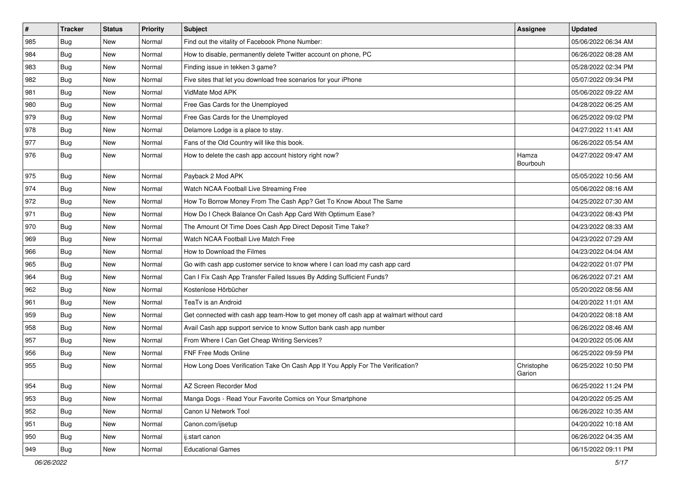| $\sharp$ | <b>Tracker</b> | <b>Status</b> | Priority | Subject                                                                                | <b>Assignee</b>      | <b>Updated</b>      |
|----------|----------------|---------------|----------|----------------------------------------------------------------------------------------|----------------------|---------------------|
| 985      | <b>Bug</b>     | New           | Normal   | Find out the vitality of Facebook Phone Number:                                        |                      | 05/06/2022 06:34 AM |
| 984      | Bug            | <b>New</b>    | Normal   | How to disable, permanently delete Twitter account on phone, PC                        |                      | 06/26/2022 08:28 AM |
| 983      | Bug            | New           | Normal   | Finding issue in tekken 3 game?                                                        |                      | 05/28/2022 02:34 PM |
| 982      | <b>Bug</b>     | <b>New</b>    | Normal   | Five sites that let you download free scenarios for your iPhone                        |                      | 05/07/2022 09:34 PM |
| 981      | Bug            | New           | Normal   | VidMate Mod APK                                                                        |                      | 05/06/2022 09:22 AM |
| 980      | <b>Bug</b>     | <b>New</b>    | Normal   | Free Gas Cards for the Unemployed                                                      |                      | 04/28/2022 06:25 AM |
| 979      | Bug            | <b>New</b>    | Normal   | Free Gas Cards for the Unemployed                                                      |                      | 06/25/2022 09:02 PM |
| 978      | <b>Bug</b>     | New           | Normal   | Delamore Lodge is a place to stay.                                                     |                      | 04/27/2022 11:41 AM |
| 977      | Bug            | New           | Normal   | Fans of the Old Country will like this book.                                           |                      | 06/26/2022 05:54 AM |
| 976      | Bug            | New           | Normal   | How to delete the cash app account history right now?                                  | Hamza<br>Bourbouh    | 04/27/2022 09:47 AM |
| 975      | Bug            | <b>New</b>    | Normal   | Payback 2 Mod APK                                                                      |                      | 05/05/2022 10:56 AM |
| 974      | Bug            | New           | Normal   | Watch NCAA Football Live Streaming Free                                                |                      | 05/06/2022 08:16 AM |
| 972      | Bug            | New           | Normal   | How To Borrow Money From The Cash App? Get To Know About The Same                      |                      | 04/25/2022 07:30 AM |
| 971      | Bug            | <b>New</b>    | Normal   | How Do I Check Balance On Cash App Card With Optimum Ease?                             |                      | 04/23/2022 08:43 PM |
| 970      | <b>Bug</b>     | New           | Normal   | The Amount Of Time Does Cash App Direct Deposit Time Take?                             |                      | 04/23/2022 08:33 AM |
| 969      | <b>Bug</b>     | <b>New</b>    | Normal   | Watch NCAA Football Live Match Free                                                    |                      | 04/23/2022 07:29 AM |
| 966      | Bug            | New           | Normal   | How to Download the Filmes                                                             |                      | 04/23/2022 04:04 AM |
| 965      | <b>Bug</b>     | <b>New</b>    | Normal   | Go with cash app customer service to know where I can load my cash app card            |                      | 04/22/2022 01:07 PM |
| 964      | Bug            | New           | Normal   | Can I Fix Cash App Transfer Failed Issues By Adding Sufficient Funds?                  |                      | 06/26/2022 07:21 AM |
| 962      | Bug            | <b>New</b>    | Normal   | Kostenlose Hörbücher                                                                   |                      | 05/20/2022 08:56 AM |
| 961      | <b>Bug</b>     | New           | Normal   | TeaTv is an Android                                                                    |                      | 04/20/2022 11:01 AM |
| 959      | Bug            | New           | Normal   | Get connected with cash app team-How to get money off cash app at walmart without card |                      | 04/20/2022 08:18 AM |
| 958      | <b>Bug</b>     | New           | Normal   | Avail Cash app support service to know Sutton bank cash app number                     |                      | 06/26/2022 08:46 AM |
| 957      | Bug            | New           | Normal   | From Where I Can Get Cheap Writing Services?                                           |                      | 04/20/2022 05:06 AM |
| 956      | <b>Bug</b>     | New           | Normal   | <b>FNF Free Mods Online</b>                                                            |                      | 06/25/2022 09:59 PM |
| 955      | <b>Bug</b>     | New           | Normal   | How Long Does Verification Take On Cash App If You Apply For The Verification?         | Christophe<br>Garion | 06/25/2022 10:50 PM |
| 954      | Bug            | New           | Normal   | AZ Screen Recorder Mod                                                                 |                      | 06/25/2022 11:24 PM |
| 953      | Bug            | New           | Normal   | Manga Dogs - Read Your Favorite Comics on Your Smartphone                              |                      | 04/20/2022 05:25 AM |
| 952      | Bug            | New           | Normal   | Canon IJ Network Tool                                                                  |                      | 06/26/2022 10:35 AM |
| 951      | <b>Bug</b>     | New           | Normal   | Canon.com/ijsetup                                                                      |                      | 04/20/2022 10:18 AM |
| 950      | <b>Bug</b>     | New           | Normal   | ij.start canon                                                                         |                      | 06/26/2022 04:35 AM |
| 949      | <b>Bug</b>     | New           | Normal   | <b>Educational Games</b>                                                               |                      | 06/15/2022 09:11 PM |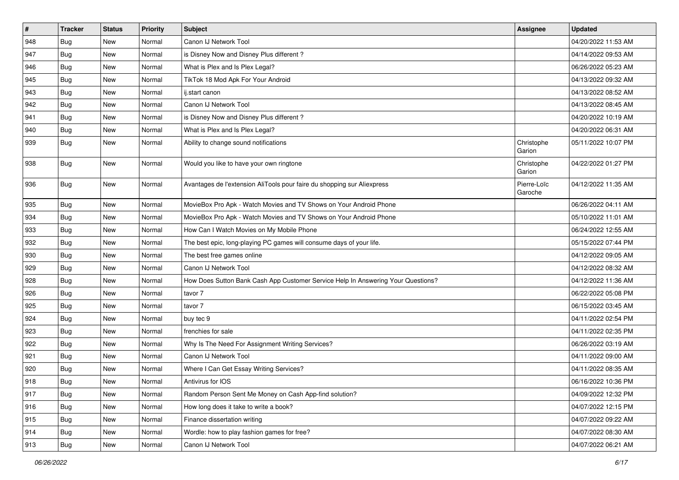| $\vert$ # | <b>Tracker</b> | <b>Status</b> | Priority | <b>Subject</b>                                                                   | Assignee               | <b>Updated</b>      |
|-----------|----------------|---------------|----------|----------------------------------------------------------------------------------|------------------------|---------------------|
| 948       | <b>Bug</b>     | New           | Normal   | Canon IJ Network Tool                                                            |                        | 04/20/2022 11:53 AM |
| 947       | Bug            | New           | Normal   | is Disney Now and Disney Plus different?                                         |                        | 04/14/2022 09:53 AM |
| 946       | <b>Bug</b>     | New           | Normal   | What is Plex and Is Plex Legal?                                                  |                        | 06/26/2022 05:23 AM |
| 945       | <b>Bug</b>     | New           | Normal   | TikTok 18 Mod Apk For Your Android                                               |                        | 04/13/2022 09:32 AM |
| 943       | <b>Bug</b>     | <b>New</b>    | Normal   | ij.start canon                                                                   |                        | 04/13/2022 08:52 AM |
| 942       | Bug            | New           | Normal   | Canon IJ Network Tool                                                            |                        | 04/13/2022 08:45 AM |
| 941       | <b>Bug</b>     | New           | Normal   | is Disney Now and Disney Plus different?                                         |                        | 04/20/2022 10:19 AM |
| 940       | Bug            | New           | Normal   | What is Plex and Is Plex Legal?                                                  |                        | 04/20/2022 06:31 AM |
| 939       | <b>Bug</b>     | New           | Normal   | Ability to change sound notifications                                            | Christophe<br>Garion   | 05/11/2022 10:07 PM |
| 938       | Bug            | <b>New</b>    | Normal   | Would you like to have your own ringtone                                         | Christophe<br>Garion   | 04/22/2022 01:27 PM |
| 936       | Bug            | <b>New</b>    | Normal   | Avantages de l'extension AliTools pour faire du shopping sur Aliexpress          | Pierre-Loïc<br>Garoche | 04/12/2022 11:35 AM |
| 935       | <b>Bug</b>     | New           | Normal   | MovieBox Pro Apk - Watch Movies and TV Shows on Your Android Phone               |                        | 06/26/2022 04:11 AM |
| 934       | <b>Bug</b>     | New           | Normal   | MovieBox Pro Apk - Watch Movies and TV Shows on Your Android Phone               |                        | 05/10/2022 11:01 AM |
| 933       | Bug            | New           | Normal   | How Can I Watch Movies on My Mobile Phone                                        |                        | 06/24/2022 12:55 AM |
| 932       | Bug            | New           | Normal   | The best epic, long-playing PC games will consume days of your life.             |                        | 05/15/2022 07:44 PM |
| 930       | Bug            | New           | Normal   | The best free games online                                                       |                        | 04/12/2022 09:05 AM |
| 929       | <b>Bug</b>     | New           | Normal   | Canon IJ Network Tool                                                            |                        | 04/12/2022 08:32 AM |
| 928       | Bug            | <b>New</b>    | Normal   | How Does Sutton Bank Cash App Customer Service Help In Answering Your Questions? |                        | 04/12/2022 11:36 AM |
| 926       | <b>Bug</b>     | New           | Normal   | tavor 7                                                                          |                        | 06/22/2022 05:08 PM |
| 925       | <b>Bug</b>     | New           | Normal   | tavor 7                                                                          |                        | 06/15/2022 03:45 AM |
| 924       | <b>Bug</b>     | New           | Normal   | buy tec 9                                                                        |                        | 04/11/2022 02:54 PM |
| 923       | <b>Bug</b>     | New           | Normal   | frenchies for sale                                                               |                        | 04/11/2022 02:35 PM |
| 922       | Bug            | <b>New</b>    | Normal   | Why Is The Need For Assignment Writing Services?                                 |                        | 06/26/2022 03:19 AM |
| 921       | <b>Bug</b>     | New           | Normal   | Canon IJ Network Tool                                                            |                        | 04/11/2022 09:00 AM |
| 920       | <b>Bug</b>     | New           | Normal   | Where I Can Get Essay Writing Services?                                          |                        | 04/11/2022 08:35 AM |
| 918       | Bug            | New           | Normal   | Antivirus for IOS                                                                |                        | 06/16/2022 10:36 PM |
| 917       | <b>Bug</b>     | New           | Normal   | Random Person Sent Me Money on Cash App-find solution?                           |                        | 04/09/2022 12:32 PM |
| 916       | <b>Bug</b>     | New           | Normal   | How long does it take to write a book?                                           |                        | 04/07/2022 12:15 PM |
| 915       | Bug            | New           | Normal   | Finance dissertation writing                                                     |                        | 04/07/2022 09:22 AM |
| 914       | Bug            | New           | Normal   | Wordle: how to play fashion games for free?                                      |                        | 04/07/2022 08:30 AM |
| 913       | Bug            | New           | Normal   | Canon IJ Network Tool                                                            |                        | 04/07/2022 06:21 AM |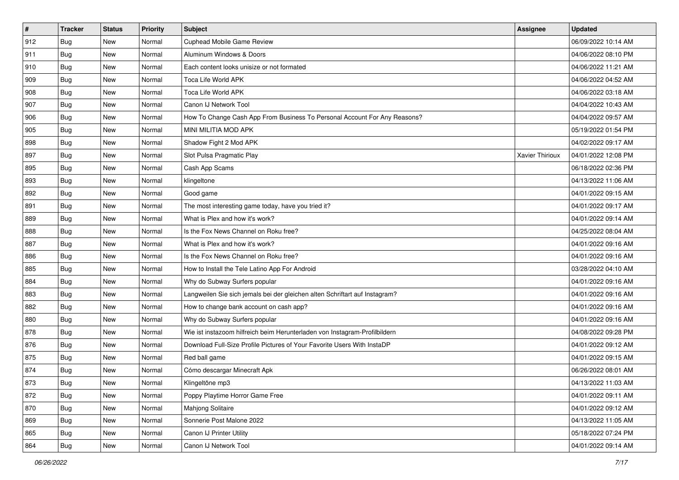| $\sharp$ | <b>Tracker</b> | <b>Status</b> | Priority | Subject                                                                     | <b>Assignee</b>        | <b>Updated</b>      |
|----------|----------------|---------------|----------|-----------------------------------------------------------------------------|------------------------|---------------------|
| 912      | <b>Bug</b>     | New           | Normal   | <b>Cuphead Mobile Game Review</b>                                           |                        | 06/09/2022 10:14 AM |
| 911      | Bug            | <b>New</b>    | Normal   | Aluminum Windows & Doors                                                    |                        | 04/06/2022 08:10 PM |
| 910      | Bug            | New           | Normal   | Each content looks unisize or not formated                                  |                        | 04/06/2022 11:21 AM |
| 909      | <b>Bug</b>     | <b>New</b>    | Normal   | Toca Life World APK                                                         |                        | 04/06/2022 04:52 AM |
| 908      | Bug            | New           | Normal   | Toca Life World APK                                                         |                        | 04/06/2022 03:18 AM |
| 907      | <b>Bug</b>     | <b>New</b>    | Normal   | Canon IJ Network Tool                                                       |                        | 04/04/2022 10:43 AM |
| 906      | Bug            | New           | Normal   | How To Change Cash App From Business To Personal Account For Any Reasons?   |                        | 04/04/2022 09:57 AM |
| 905      | <b>Bug</b>     | New           | Normal   | MINI MILITIA MOD APK                                                        |                        | 05/19/2022 01:54 PM |
| 898      | Bug            | New           | Normal   | Shadow Fight 2 Mod APK                                                      |                        | 04/02/2022 09:17 AM |
| 897      | Bug            | New           | Normal   | Slot Pulsa Pragmatic Play                                                   | <b>Xavier Thirioux</b> | 04/01/2022 12:08 PM |
| 895      | <b>Bug</b>     | New           | Normal   | Cash App Scams                                                              |                        | 06/18/2022 02:36 PM |
| 893      | Bug            | New           | Normal   | klingeltone                                                                 |                        | 04/13/2022 11:06 AM |
| 892      | Bug            | New           | Normal   | Good game                                                                   |                        | 04/01/2022 09:15 AM |
| 891      | <b>Bug</b>     | New           | Normal   | The most interesting game today, have you tried it?                         |                        | 04/01/2022 09:17 AM |
| 889      | Bug            | <b>New</b>    | Normal   | What is Plex and how it's work?                                             |                        | 04/01/2022 09:14 AM |
| 888      | Bug            | New           | Normal   | Is the Fox News Channel on Roku free?                                       |                        | 04/25/2022 08:04 AM |
| 887      | <b>Bug</b>     | <b>New</b>    | Normal   | What is Plex and how it's work?                                             |                        | 04/01/2022 09:16 AM |
| 886      | Bug            | New           | Normal   | Is the Fox News Channel on Roku free?                                       |                        | 04/01/2022 09:16 AM |
| 885      | Bug            | New           | Normal   | How to Install the Tele Latino App For Android                              |                        | 03/28/2022 04:10 AM |
| 884      | Bug            | <b>New</b>    | Normal   | Why do Subway Surfers popular                                               |                        | 04/01/2022 09:16 AM |
| 883      | Bug            | New           | Normal   | Langweilen Sie sich jemals bei der gleichen alten Schriftart auf Instagram? |                        | 04/01/2022 09:16 AM |
| 882      | Bug            | New           | Normal   | How to change bank account on cash app?                                     |                        | 04/01/2022 09:16 AM |
| 880      | Bug            | New           | Normal   | Why do Subway Surfers popular                                               |                        | 04/01/2022 09:16 AM |
| 878      | <b>Bug</b>     | New           | Normal   | Wie ist instazoom hilfreich beim Herunterladen von Instagram-Profilbildern  |                        | 04/08/2022 09:28 PM |
| 876      | Bug            | New           | Normal   | Download Full-Size Profile Pictures of Your Favorite Users With InstaDP     |                        | 04/01/2022 09:12 AM |
| 875      | Bug            | New           | Normal   | Red ball game                                                               |                        | 04/01/2022 09:15 AM |
| 874      | <b>Bug</b>     | New           | Normal   | Cómo descargar Minecraft Apk                                                |                        | 06/26/2022 08:01 AM |
| 873      | I Bug          | New           | Normal   | Klingeltöne mp3                                                             |                        | 04/13/2022 11:03 AM |
| 872      | <b>Bug</b>     | New           | Normal   | Poppy Playtime Horror Game Free                                             |                        | 04/01/2022 09:11 AM |
| 870      | <b>Bug</b>     | New           | Normal   | <b>Mahjong Solitaire</b>                                                    |                        | 04/01/2022 09:12 AM |
| 869      | Bug            | New           | Normal   | Sonnerie Post Malone 2022                                                   |                        | 04/13/2022 11:05 AM |
| 865      | Bug            | New           | Normal   | Canon IJ Printer Utility                                                    |                        | 05/18/2022 07:24 PM |
| 864      | <b>Bug</b>     | New           | Normal   | Canon IJ Network Tool                                                       |                        | 04/01/2022 09:14 AM |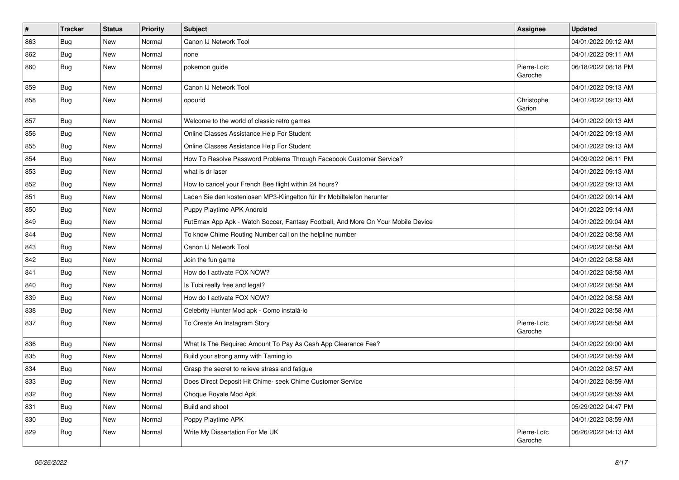| $\vert$ # | <b>Tracker</b> | <b>Status</b> | Priority | Subject                                                                          | <b>Assignee</b>        | <b>Updated</b>      |
|-----------|----------------|---------------|----------|----------------------------------------------------------------------------------|------------------------|---------------------|
| 863       | <b>Bug</b>     | New           | Normal   | Canon IJ Network Tool                                                            |                        | 04/01/2022 09:12 AM |
| 862       | <b>Bug</b>     | New           | Normal   | none                                                                             |                        | 04/01/2022 09:11 AM |
| 860       | Bug            | New           | Normal   | pokemon guide                                                                    | Pierre-Loïc<br>Garoche | 06/18/2022 08:18 PM |
| 859       | Bug            | New           | Normal   | Canon IJ Network Tool                                                            |                        | 04/01/2022 09:13 AM |
| 858       | Bug            | New           | Normal   | opourid                                                                          | Christophe<br>Garion   | 04/01/2022 09:13 AM |
| 857       | <b>Bug</b>     | New           | Normal   | Welcome to the world of classic retro games                                      |                        | 04/01/2022 09:13 AM |
| 856       | <b>Bug</b>     | New           | Normal   | Online Classes Assistance Help For Student                                       |                        | 04/01/2022 09:13 AM |
| 855       | <b>Bug</b>     | New           | Normal   | Online Classes Assistance Help For Student                                       |                        | 04/01/2022 09:13 AM |
| 854       | <b>Bug</b>     | New           | Normal   | How To Resolve Password Problems Through Facebook Customer Service?              |                        | 04/09/2022 06:11 PM |
| 853       | <b>Bug</b>     | New           | Normal   | what is dr laser                                                                 |                        | 04/01/2022 09:13 AM |
| 852       | Bug            | New           | Normal   | How to cancel your French Bee flight within 24 hours?                            |                        | 04/01/2022 09:13 AM |
| 851       | Bug            | New           | Normal   | Laden Sie den kostenlosen MP3-Klingelton für Ihr Mobiltelefon herunter           |                        | 04/01/2022 09:14 AM |
| 850       | <b>Bug</b>     | New           | Normal   | Puppy Playtime APK Android                                                       |                        | 04/01/2022 09:14 AM |
| 849       | Bug            | New           | Normal   | FutEmax App Apk - Watch Soccer, Fantasy Football, And More On Your Mobile Device |                        | 04/01/2022 09:04 AM |
| 844       | <b>Bug</b>     | New           | Normal   | To know Chime Routing Number call on the helpline number                         |                        | 04/01/2022 08:58 AM |
| 843       | <b>Bug</b>     | New           | Normal   | Canon IJ Network Tool                                                            |                        | 04/01/2022 08:58 AM |
| 842       | <b>Bug</b>     | New           | Normal   | Join the fun game                                                                |                        | 04/01/2022 08:58 AM |
| 841       | <b>Bug</b>     | New           | Normal   | How do I activate FOX NOW?                                                       |                        | 04/01/2022 08:58 AM |
| 840       | <b>Bug</b>     | New           | Normal   | Is Tubi really free and legal?                                                   |                        | 04/01/2022 08:58 AM |
| 839       | Bug            | New           | Normal   | How do I activate FOX NOW?                                                       |                        | 04/01/2022 08:58 AM |
| 838       | <b>Bug</b>     | New           | Normal   | Celebrity Hunter Mod apk - Como instalá-lo                                       |                        | 04/01/2022 08:58 AM |
| 837       | Bug            | New           | Normal   | To Create An Instagram Story                                                     | Pierre-Loïc<br>Garoche | 04/01/2022 08:58 AM |
| 836       | Bug            | New           | Normal   | What Is The Required Amount To Pay As Cash App Clearance Fee?                    |                        | 04/01/2022 09:00 AM |
| 835       | <b>Bug</b>     | New           | Normal   | Build your strong army with Taming io                                            |                        | 04/01/2022 08:59 AM |
| 834       | <b>Bug</b>     | New           | Normal   | Grasp the secret to relieve stress and fatigue                                   |                        | 04/01/2022 08:57 AM |
| 833       | <b>Bug</b>     | New           | Normal   | Does Direct Deposit Hit Chime- seek Chime Customer Service                       |                        | 04/01/2022 08:59 AM |
| 832       | Bug            | New           | Normal   | Choque Royale Mod Apk                                                            |                        | 04/01/2022 08:59 AM |
| 831       | <b>Bug</b>     | New           | Normal   | Build and shoot                                                                  |                        | 05/29/2022 04:47 PM |
| 830       | <b>Bug</b>     | New           | Normal   | Poppy Playtime APK                                                               |                        | 04/01/2022 08:59 AM |
| 829       | <b>Bug</b>     | New           | Normal   | Write My Dissertation For Me UK                                                  | Pierre-Loïc<br>Garoche | 06/26/2022 04:13 AM |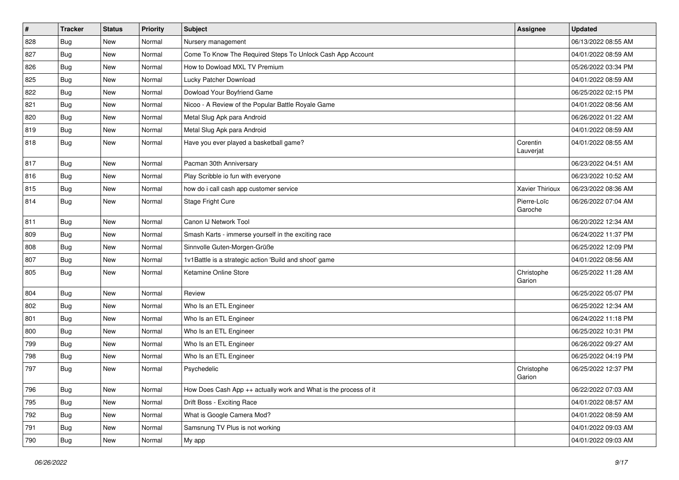| $\sharp$ | <b>Tracker</b> | <b>Status</b> | Priority | Subject                                                          | <b>Assignee</b>        | <b>Updated</b>      |
|----------|----------------|---------------|----------|------------------------------------------------------------------|------------------------|---------------------|
| 828      | <b>Bug</b>     | New           | Normal   | Nursery management                                               |                        | 06/13/2022 08:55 AM |
| 827      | Bug            | <b>New</b>    | Normal   | Come To Know The Required Steps To Unlock Cash App Account       |                        | 04/01/2022 08:59 AM |
| 826      | Bug            | New           | Normal   | How to Dowload MXL TV Premium                                    |                        | 05/26/2022 03:34 PM |
| 825      | <b>Bug</b>     | <b>New</b>    | Normal   | Lucky Patcher Download                                           |                        | 04/01/2022 08:59 AM |
| 822      | Bug            | New           | Normal   | Dowload Your Boyfriend Game                                      |                        | 06/25/2022 02:15 PM |
| 821      | <b>Bug</b>     | <b>New</b>    | Normal   | Nicoo - A Review of the Popular Battle Royale Game               |                        | 04/01/2022 08:56 AM |
| 820      | Bug            | New           | Normal   | Metal Slug Apk para Android                                      |                        | 06/26/2022 01:22 AM |
| 819      | Bug            | New           | Normal   | Metal Slug Apk para Android                                      |                        | 04/01/2022 08:59 AM |
| 818      | <b>Bug</b>     | New           | Normal   | Have you ever played a basketball game?                          | Corentin<br>Lauverjat  | 04/01/2022 08:55 AM |
| 817      | Bug            | New           | Normal   | Pacman 30th Anniversary                                          |                        | 06/23/2022 04:51 AM |
| 816      | <b>Bug</b>     | <b>New</b>    | Normal   | Play Scribble io fun with everyone                               |                        | 06/23/2022 10:52 AM |
| 815      | Bug            | New           | Normal   | how do i call cash app customer service                          | Xavier Thirioux        | 06/23/2022 08:36 AM |
| 814      | <b>Bug</b>     | New           | Normal   | Stage Fright Cure                                                | Pierre-Loïc<br>Garoche | 06/26/2022 07:04 AM |
| 811      | Bug            | <b>New</b>    | Normal   | Canon IJ Network Tool                                            |                        | 06/20/2022 12:34 AM |
| 809      | Bug            | New           | Normal   | Smash Karts - immerse yourself in the exciting race              |                        | 06/24/2022 11:37 PM |
| 808      | Bug            | New           | Normal   | Sinnvolle Guten-Morgen-Grüße                                     |                        | 06/25/2022 12:09 PM |
| 807      | <b>Bug</b>     | New           | Normal   | 1v1Battle is a strategic action 'Build and shoot' game           |                        | 04/01/2022 08:56 AM |
| 805      | <b>Bug</b>     | New           | Normal   | Ketamine Online Store                                            | Christophe<br>Garion   | 06/25/2022 11:28 AM |
| 804      | <b>Bug</b>     | New           | Normal   | Review                                                           |                        | 06/25/2022 05:07 PM |
| 802      | <b>Bug</b>     | <b>New</b>    | Normal   | Who Is an ETL Engineer                                           |                        | 06/25/2022 12:34 AM |
| 801      | Bug            | New           | Normal   | Who Is an ETL Engineer                                           |                        | 06/24/2022 11:18 PM |
| 800      | <b>Bug</b>     | New           | Normal   | Who Is an ETL Engineer                                           |                        | 06/25/2022 10:31 PM |
| 799      | Bug            | New           | Normal   | Who Is an ETL Engineer                                           |                        | 06/26/2022 09:27 AM |
| 798      | <b>Bug</b>     | New           | Normal   | Who Is an ETL Engineer                                           |                        | 06/25/2022 04:19 PM |
| 797      | <b>Bug</b>     | New           | Normal   | Psychedelic                                                      | Christophe<br>Garion   | 06/25/2022 12:37 PM |
| 796      | <b>Bug</b>     | New           | Normal   | How Does Cash App ++ actually work and What is the process of it |                        | 06/22/2022 07:03 AM |
| 795      | <b>Bug</b>     | New           | Normal   | Drift Boss - Exciting Race                                       |                        | 04/01/2022 08:57 AM |
| 792      | <b>Bug</b>     | New           | Normal   | What is Google Camera Mod?                                       |                        | 04/01/2022 08:59 AM |
| 791      | <b>Bug</b>     | New           | Normal   | Samsnung TV Plus is not working                                  |                        | 04/01/2022 09:03 AM |
| 790      | <b>Bug</b>     | New           | Normal   | My app                                                           |                        | 04/01/2022 09:03 AM |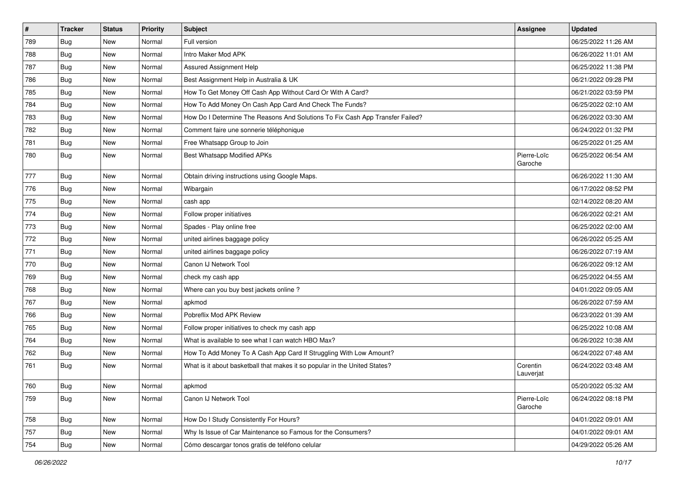| $\vert$ # | <b>Tracker</b> | <b>Status</b> | <b>Priority</b> | <b>Subject</b>                                                                | Assignee               | <b>Updated</b>      |
|-----------|----------------|---------------|-----------------|-------------------------------------------------------------------------------|------------------------|---------------------|
| 789       | <b>Bug</b>     | New           | Normal          | Full version                                                                  |                        | 06/25/2022 11:26 AM |
| 788       | <b>Bug</b>     | <b>New</b>    | Normal          | Intro Maker Mod APK                                                           |                        | 06/26/2022 11:01 AM |
| 787       | <b>Bug</b>     | New           | Normal          | Assured Assignment Help                                                       |                        | 06/25/2022 11:38 PM |
| 786       | <b>Bug</b>     | New           | Normal          | Best Assignment Help in Australia & UK                                        |                        | 06/21/2022 09:28 PM |
| 785       | <b>Bug</b>     | <b>New</b>    | Normal          | How To Get Money Off Cash App Without Card Or With A Card?                    |                        | 06/21/2022 03:59 PM |
| 784       | <b>Bug</b>     | New           | Normal          | How To Add Money On Cash App Card And Check The Funds?                        |                        | 06/25/2022 02:10 AM |
| 783       | Bug            | <b>New</b>    | Normal          | How Do I Determine The Reasons And Solutions To Fix Cash App Transfer Failed? |                        | 06/26/2022 03:30 AM |
| 782       | <b>Bug</b>     | New           | Normal          | Comment faire une sonnerie téléphonique                                       |                        | 06/24/2022 01:32 PM |
| 781       | <b>Bug</b>     | New           | Normal          | Free Whatsapp Group to Join                                                   |                        | 06/25/2022 01:25 AM |
| 780       | Bug            | <b>New</b>    | Normal          | Best Whatsapp Modified APKs                                                   | Pierre-Loïc<br>Garoche | 06/25/2022 06:54 AM |
| 777       | Bug            | New           | Normal          | Obtain driving instructions using Google Maps.                                |                        | 06/26/2022 11:30 AM |
| 776       | <b>Bug</b>     | <b>New</b>    | Normal          | Wibargain                                                                     |                        | 06/17/2022 08:52 PM |
| 775       | <b>Bug</b>     | New           | Normal          | cash app                                                                      |                        | 02/14/2022 08:20 AM |
| 774       | Bug            | New           | Normal          | Follow proper initiatives                                                     |                        | 06/26/2022 02:21 AM |
| 773       | <b>Bug</b>     | New           | Normal          | Spades - Play online free                                                     |                        | 06/25/2022 02:00 AM |
| 772       | <b>Bug</b>     | New           | Normal          | united airlines baggage policy                                                |                        | 06/26/2022 05:25 AM |
| 771       | <b>Bug</b>     | <b>New</b>    | Normal          | united airlines baggage policy                                                |                        | 06/26/2022 07:19 AM |
| 770       | <b>Bug</b>     | New           | Normal          | Canon IJ Network Tool                                                         |                        | 06/26/2022 09:12 AM |
| 769       | <b>Bug</b>     | New           | Normal          | check my cash app                                                             |                        | 06/25/2022 04:55 AM |
| 768       | <b>Bug</b>     | New           | Normal          | Where can you buy best jackets online?                                        |                        | 04/01/2022 09:05 AM |
| 767       | Bug            | New           | Normal          | apkmod                                                                        |                        | 06/26/2022 07:59 AM |
| 766       | <b>Bug</b>     | <b>New</b>    | Normal          | Pobreflix Mod APK Review                                                      |                        | 06/23/2022 01:39 AM |
| 765       | <b>Bug</b>     | New           | Normal          | Follow proper initiatives to check my cash app                                |                        | 06/25/2022 10:08 AM |
| 764       | <b>Bug</b>     | New           | Normal          | What is available to see what I can watch HBO Max?                            |                        | 06/26/2022 10:38 AM |
| 762       | <b>Bug</b>     | New           | Normal          | How To Add Money To A Cash App Card If Struggling With Low Amount?            |                        | 06/24/2022 07:48 AM |
| 761       | Bug            | New           | Normal          | What is it about basketball that makes it so popular in the United States?    | Corentin<br>Lauverjat  | 06/24/2022 03:48 AM |
| 760       | Bug            | New           | Normal          | apkmod                                                                        |                        | 05/20/2022 05:32 AM |
| 759       | <b>Bug</b>     | New           | Normal          | Canon IJ Network Tool                                                         | Pierre-Loïc<br>Garoche | 06/24/2022 08:18 PM |
| 758       | Bug            | New           | Normal          | How Do I Study Consistently For Hours?                                        |                        | 04/01/2022 09:01 AM |
| 757       | Bug            | New           | Normal          | Why Is Issue of Car Maintenance so Famous for the Consumers?                  |                        | 04/01/2022 09:01 AM |
| 754       | <b>Bug</b>     | New           | Normal          | Cómo descargar tonos gratis de teléfono celular                               |                        | 04/29/2022 05:26 AM |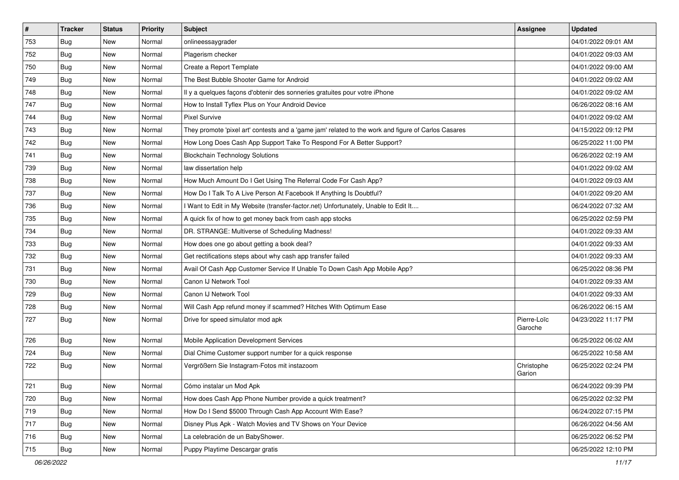| $\vert$ # | <b>Tracker</b> | <b>Status</b> | Priority | Subject                                                                                             | Assignee               | <b>Updated</b>      |
|-----------|----------------|---------------|----------|-----------------------------------------------------------------------------------------------------|------------------------|---------------------|
| 753       | <b>Bug</b>     | New           | Normal   | onlineessaygrader                                                                                   |                        | 04/01/2022 09:01 AM |
| 752       | <b>Bug</b>     | New           | Normal   | Plagerism checker                                                                                   |                        | 04/01/2022 09:03 AM |
| 750       | Bug            | New           | Normal   | Create a Report Template                                                                            |                        | 04/01/2022 09:00 AM |
| 749       | <b>Bug</b>     | New           | Normal   | The Best Bubble Shooter Game for Android                                                            |                        | 04/01/2022 09:02 AM |
| 748       | <b>Bug</b>     | New           | Normal   | Il y a quelques façons d'obtenir des sonneries gratuites pour votre iPhone                          |                        | 04/01/2022 09:02 AM |
| 747       | <b>Bug</b>     | New           | Normal   | How to Install Tyflex Plus on Your Android Device                                                   |                        | 06/26/2022 08:16 AM |
| 744       | Bug            | New           | Normal   | <b>Pixel Survive</b>                                                                                |                        | 04/01/2022 09:02 AM |
| 743       | <b>Bug</b>     | New           | Normal   | They promote 'pixel art' contests and a 'game jam' related to the work and figure of Carlos Casares |                        | 04/15/2022 09:12 PM |
| 742       | <b>Bug</b>     | New           | Normal   | How Long Does Cash App Support Take To Respond For A Better Support?                                |                        | 06/25/2022 11:00 PM |
| 741       | Bug            | New           | Normal   | <b>Blockchain Technology Solutions</b>                                                              |                        | 06/26/2022 02:19 AM |
| 739       | <b>Bug</b>     | New           | Normal   | law dissertation help                                                                               |                        | 04/01/2022 09:02 AM |
| 738       | <b>Bug</b>     | New           | Normal   | How Much Amount Do I Get Using The Referral Code For Cash App?                                      |                        | 04/01/2022 09:03 AM |
| 737       | Bug            | <b>New</b>    | Normal   | How Do I Talk To A Live Person At Facebook If Anything Is Doubtful?                                 |                        | 04/01/2022 09:20 AM |
| 736       | <b>Bug</b>     | New           | Normal   | Want to Edit in My Website (transfer-factor.net) Unfortunately, Unable to Edit It                   |                        | 06/24/2022 07:32 AM |
| 735       | Bug            | New           | Normal   | A quick fix of how to get money back from cash app stocks                                           |                        | 06/25/2022 02:59 PM |
| 734       | Bug            | New           | Normal   | DR. STRANGE: Multiverse of Scheduling Madness!                                                      |                        | 04/01/2022 09:33 AM |
| 733       | <b>Bug</b>     | New           | Normal   | How does one go about getting a book deal?                                                          |                        | 04/01/2022 09:33 AM |
| 732       | <b>Bug</b>     | New           | Normal   | Get rectifications steps about why cash app transfer failed                                         |                        | 04/01/2022 09:33 AM |
| 731       | Bug            | New           | Normal   | Avail Of Cash App Customer Service If Unable To Down Cash App Mobile App?                           |                        | 06/25/2022 08:36 PM |
| 730       | <b>Bug</b>     | New           | Normal   | Canon IJ Network Tool                                                                               |                        | 04/01/2022 09:33 AM |
| 729       | Bug            | New           | Normal   | Canon IJ Network Tool                                                                               |                        | 04/01/2022 09:33 AM |
| 728       | <b>Bug</b>     | New           | Normal   | Will Cash App refund money if scammed? Hitches With Optimum Ease                                    |                        | 06/26/2022 06:15 AM |
| 727       | Bug            | New           | Normal   | Drive for speed simulator mod apk                                                                   | Pierre-Loïc<br>Garoche | 04/23/2022 11:17 PM |
| 726       | <b>Bug</b>     | New           | Normal   | Mobile Application Development Services                                                             |                        | 06/25/2022 06:02 AM |
| 724       | <b>Bug</b>     | New           | Normal   | Dial Chime Customer support number for a quick response                                             |                        | 06/25/2022 10:58 AM |
| 722       | <b>Bug</b>     | New           | Normal   | Vergrößern Sie Instagram-Fotos mit instazoom                                                        | Christophe<br>Garion   | 06/25/2022 02:24 PM |
| 721       | Bug            | New           | Normal   | Cómo instalar un Mod Apk                                                                            |                        | 06/24/2022 09:39 PM |
| 720       | Bug            | New           | Normal   | How does Cash App Phone Number provide a quick treatment?                                           |                        | 06/25/2022 02:32 PM |
| 719       | Bug            | New           | Normal   | How Do I Send \$5000 Through Cash App Account With Ease?                                            |                        | 06/24/2022 07:15 PM |
| 717       | <b>Bug</b>     | New           | Normal   | Disney Plus Apk - Watch Movies and TV Shows on Your Device                                          |                        | 06/26/2022 04:56 AM |
| 716       | <b>Bug</b>     | New           | Normal   | La celebración de un BabyShower.                                                                    |                        | 06/25/2022 06:52 PM |
| 715       | Bug            | New           | Normal   | Puppy Playtime Descargar gratis                                                                     |                        | 06/25/2022 12:10 PM |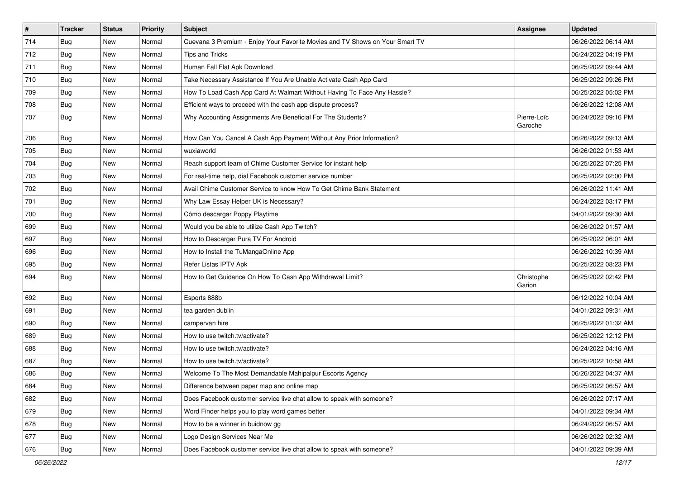| $\pmb{\sharp}$ | <b>Tracker</b> | <b>Status</b> | <b>Priority</b> | <b>Subject</b>                                                               | <b>Assignee</b>        | <b>Updated</b>      |
|----------------|----------------|---------------|-----------------|------------------------------------------------------------------------------|------------------------|---------------------|
| 714            | <b>Bug</b>     | New           | Normal          | Cuevana 3 Premium - Enjoy Your Favorite Movies and TV Shows on Your Smart TV |                        | 06/26/2022 06:14 AM |
| 712            | Bug            | New           | Normal          | Tips and Tricks                                                              |                        | 06/24/2022 04:19 PM |
| 711            | Bug            | <b>New</b>    | Normal          | Human Fall Flat Apk Download                                                 |                        | 06/25/2022 09:44 AM |
| 710            | Bug            | <b>New</b>    | Normal          | Take Necessary Assistance If You Are Unable Activate Cash App Card           |                        | 06/25/2022 09:26 PM |
| 709            | <b>Bug</b>     | <b>New</b>    | Normal          | How To Load Cash App Card At Walmart Without Having To Face Any Hassle?      |                        | 06/25/2022 05:02 PM |
| 708            | Bug            | New           | Normal          | Efficient ways to proceed with the cash app dispute process?                 |                        | 06/26/2022 12:08 AM |
| 707            | <b>Bug</b>     | New           | Normal          | Why Accounting Assignments Are Beneficial For The Students?                  | Pierre-Loïc<br>Garoche | 06/24/2022 09:16 PM |
| 706            | Bug            | <b>New</b>    | Normal          | How Can You Cancel A Cash App Payment Without Any Prior Information?         |                        | 06/26/2022 09:13 AM |
| 705            | Bug            | <b>New</b>    | Normal          | wuxiaworld                                                                   |                        | 06/26/2022 01:53 AM |
| 704            | Bug            | <b>New</b>    | Normal          | Reach support team of Chime Customer Service for instant help                |                        | 06/25/2022 07:25 PM |
| 703            | Bug            | <b>New</b>    | Normal          | For real-time help, dial Facebook customer service number                    |                        | 06/25/2022 02:00 PM |
| 702            | Bug            | <b>New</b>    | Normal          | Avail Chime Customer Service to know How To Get Chime Bank Statement         |                        | 06/26/2022 11:41 AM |
| 701            | <b>Bug</b>     | New           | Normal          | Why Law Essay Helper UK is Necessary?                                        |                        | 06/24/2022 03:17 PM |
| 700            | <b>Bug</b>     | New           | Normal          | Cómo descargar Poppy Playtime                                                |                        | 04/01/2022 09:30 AM |
| 699            | <b>Bug</b>     | <b>New</b>    | Normal          | Would you be able to utilize Cash App Twitch?                                |                        | 06/26/2022 01:57 AM |
| 697            | Bug            | New           | Normal          | How to Descargar Pura TV For Android                                         |                        | 06/25/2022 06:01 AM |
| 696            | Bug            | <b>New</b>    | Normal          | How to Install the TuMangaOnline App                                         |                        | 06/26/2022 10:39 AM |
| 695            | <b>Bug</b>     | New           | Normal          | Refer Listas IPTV Apk                                                        |                        | 06/25/2022 08:23 PM |
| 694            | Bug            | New           | Normal          | How to Get Guidance On How To Cash App Withdrawal Limit?                     | Christophe<br>Garion   | 06/25/2022 02:42 PM |
| 692            | Bug            | New           | Normal          | Esports 888b                                                                 |                        | 06/12/2022 10:04 AM |
| 691            | Bug            | New           | Normal          | tea garden dublin                                                            |                        | 04/01/2022 09:31 AM |
| 690            | Bug            | <b>New</b>    | Normal          | campervan hire                                                               |                        | 06/25/2022 01:32 AM |
| 689            | Bug            | <b>New</b>    | Normal          | How to use twitch.tv/activate?                                               |                        | 06/25/2022 12:12 PM |
| 688            | <b>Bug</b>     | <b>New</b>    | Normal          | How to use twitch.tv/activate?                                               |                        | 06/24/2022 04:16 AM |
| 687            | <b>Bug</b>     | New           | Normal          | How to use twitch.tv/activate?                                               |                        | 06/25/2022 10:58 AM |
| 686            | <b>Bug</b>     | New           | Normal          | Welcome To The Most Demandable Mahipalpur Escorts Agency                     |                        | 06/26/2022 04:37 AM |
| 684            | <b>Bug</b>     | New           | Normal          | Difference between paper map and online map                                  |                        | 06/25/2022 06:57 AM |
| 682            | <b>Bug</b>     | New           | Normal          | Does Facebook customer service live chat allow to speak with someone?        |                        | 06/26/2022 07:17 AM |
| 679            | Bug            | New           | Normal          | Word Finder helps you to play word games better                              |                        | 04/01/2022 09:34 AM |
| 678            | Bug            | New           | Normal          | How to be a winner in buidnow gg                                             |                        | 06/24/2022 06:57 AM |
| 677            | Bug            | New           | Normal          | Logo Design Services Near Me                                                 |                        | 06/26/2022 02:32 AM |
| 676            | Bug            | New           | Normal          | Does Facebook customer service live chat allow to speak with someone?        |                        | 04/01/2022 09:39 AM |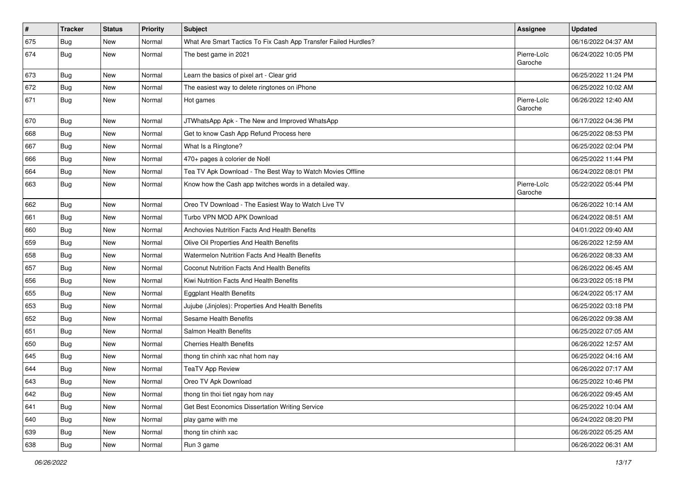| $\sharp$ | <b>Tracker</b> | <b>Status</b> | Priority | Subject                                                         | <b>Assignee</b>        | <b>Updated</b>      |
|----------|----------------|---------------|----------|-----------------------------------------------------------------|------------------------|---------------------|
| 675      | <b>Bug</b>     | New           | Normal   | What Are Smart Tactics To Fix Cash App Transfer Failed Hurdles? |                        | 06/16/2022 04:37 AM |
| 674      | <b>Bug</b>     | New           | Normal   | The best game in 2021                                           | Pierre-Loïc<br>Garoche | 06/24/2022 10:05 PM |
| 673      | Bug            | New           | Normal   | Learn the basics of pixel art - Clear grid                      |                        | 06/25/2022 11:24 PM |
| 672      | Bug            | New           | Normal   | The easiest way to delete ringtones on iPhone                   |                        | 06/25/2022 10:02 AM |
| 671      | Bug            | New           | Normal   | Hot games                                                       | Pierre-Loïc<br>Garoche | 06/26/2022 12:40 AM |
| 670      | Bug            | New           | Normal   | JTWhatsApp Apk - The New and Improved WhatsApp                  |                        | 06/17/2022 04:36 PM |
| 668      | <b>Bug</b>     | New           | Normal   | Get to know Cash App Refund Process here                        |                        | 06/25/2022 08:53 PM |
| 667      | Bug            | <b>New</b>    | Normal   | What Is a Ringtone?                                             |                        | 06/25/2022 02:04 PM |
| 666      | <b>Bug</b>     | New           | Normal   | 470+ pages à colorier de Noël                                   |                        | 06/25/2022 11:44 PM |
| 664      | <b>Bug</b>     | <b>New</b>    | Normal   | Tea TV Apk Download - The Best Way to Watch Movies Offline      |                        | 06/24/2022 08:01 PM |
| 663      | <b>Bug</b>     | New           | Normal   | Know how the Cash app twitches words in a detailed way.         | Pierre-Loïc<br>Garoche | 05/22/2022 05:44 PM |
| 662      | Bug            | New           | Normal   | Oreo TV Download - The Easiest Way to Watch Live TV             |                        | 06/26/2022 10:14 AM |
| 661      | <b>Bug</b>     | New           | Normal   | Turbo VPN MOD APK Download                                      |                        | 06/24/2022 08:51 AM |
| 660      | Bug            | New           | Normal   | Anchovies Nutrition Facts And Health Benefits                   |                        | 04/01/2022 09:40 AM |
| 659      | <b>Bug</b>     | <b>New</b>    | Normal   | Olive Oil Properties And Health Benefits                        |                        | 06/26/2022 12:59 AM |
| 658      | <b>Bug</b>     | New           | Normal   | Watermelon Nutrition Facts And Health Benefits                  |                        | 06/26/2022 08:33 AM |
| 657      | <b>Bug</b>     | <b>New</b>    | Normal   | Coconut Nutrition Facts And Health Benefits                     |                        | 06/26/2022 06:45 AM |
| 656      | Bug            | New           | Normal   | Kiwi Nutrition Facts And Health Benefits                        |                        | 06/23/2022 05:18 PM |
| 655      | <b>Bug</b>     | New           | Normal   | <b>Eggplant Health Benefits</b>                                 |                        | 06/24/2022 05:17 AM |
| 653      | <b>Bug</b>     | New           | Normal   | Jujube (Jinjoles): Properties And Health Benefits               |                        | 06/25/2022 03:18 PM |
| 652      | Bug            | New           | Normal   | Sesame Health Benefits                                          |                        | 06/26/2022 09:38 AM |
| 651      | <b>Bug</b>     | New           | Normal   | Salmon Health Benefits                                          |                        | 06/25/2022 07:05 AM |
| 650      | Bug            | New           | Normal   | <b>Cherries Health Benefits</b>                                 |                        | 06/26/2022 12:57 AM |
| 645      | <b>Bug</b>     | <b>New</b>    | Normal   | thong tin chinh xac nhat hom nay                                |                        | 06/25/2022 04:16 AM |
| 644      | <b>Bug</b>     | New           | Normal   | <b>TeaTV App Review</b>                                         |                        | 06/26/2022 07:17 AM |
| 643      | Bug            | New           | Normal   | Oreo TV Apk Download                                            |                        | 06/25/2022 10:46 PM |
| 642      | <b>Bug</b>     | New           | Normal   | thong tin thoi tiet ngay hom nay                                |                        | 06/26/2022 09:45 AM |
| 641      | Bug            | New           | Normal   | Get Best Economics Dissertation Writing Service                 |                        | 06/25/2022 10:04 AM |
| 640      | <b>Bug</b>     | New           | Normal   | play game with me                                               |                        | 06/24/2022 08:20 PM |
| 639      | <b>Bug</b>     | New           | Normal   | thong tin chinh xac                                             |                        | 06/26/2022 05:25 AM |
| 638      | Bug            | New           | Normal   | Run 3 game                                                      |                        | 06/26/2022 06:31 AM |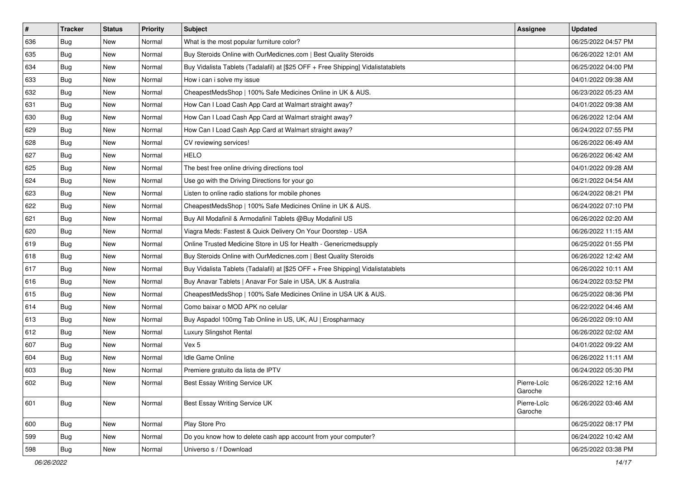| $\vert$ # | <b>Tracker</b> | <b>Status</b> | <b>Priority</b> | <b>Subject</b>                                                                   | <b>Assignee</b>        | <b>Updated</b>      |
|-----------|----------------|---------------|-----------------|----------------------------------------------------------------------------------|------------------------|---------------------|
| 636       | Bug            | New           | Normal          | What is the most popular furniture color?                                        |                        | 06/25/2022 04:57 PM |
| 635       | <b>Bug</b>     | New           | Normal          | Buy Steroids Online with OurMedicnes.com   Best Quality Steroids                 |                        | 06/26/2022 12:01 AM |
| 634       | <b>Bug</b>     | New           | Normal          | Buy Vidalista Tablets (Tadalafil) at [\$25 OFF + Free Shipping] Vidalistatablets |                        | 06/25/2022 04:00 PM |
| 633       | <b>Bug</b>     | New           | Normal          | How i can i solve my issue                                                       |                        | 04/01/2022 09:38 AM |
| 632       | <b>Bug</b>     | <b>New</b>    | Normal          | CheapestMedsShop   100% Safe Medicines Online in UK & AUS.                       |                        | 06/23/2022 05:23 AM |
| 631       | <b>Bug</b>     | New           | Normal          | How Can I Load Cash App Card at Walmart straight away?                           |                        | 04/01/2022 09:38 AM |
| 630       | Bug            | New           | Normal          | How Can I Load Cash App Card at Walmart straight away?                           |                        | 06/26/2022 12:04 AM |
| 629       | <b>Bug</b>     | New           | Normal          | How Can I Load Cash App Card at Walmart straight away?                           |                        | 06/24/2022 07:55 PM |
| 628       | <b>Bug</b>     | New           | Normal          | CV reviewing services!                                                           |                        | 06/26/2022 06:49 AM |
| 627       | Bug            | New           | Normal          | <b>HELO</b>                                                                      |                        | 06/26/2022 06:42 AM |
| 625       | <b>Bug</b>     | New           | Normal          | The best free online driving directions tool                                     |                        | 04/01/2022 09:28 AM |
| 624       | Bug            | New           | Normal          | Use go with the Driving Directions for your go                                   |                        | 06/21/2022 04:54 AM |
| 623       | Bug            | New           | Normal          | Listen to online radio stations for mobile phones                                |                        | 06/24/2022 08:21 PM |
| 622       | <b>Bug</b>     | New           | Normal          | CheapestMedsShop   100% Safe Medicines Online in UK & AUS.                       |                        | 06/24/2022 07:10 PM |
| 621       | <b>Bug</b>     | New           | Normal          | Buy All Modafinil & Armodafinil Tablets @Buy Modafinil US                        |                        | 06/26/2022 02:20 AM |
| 620       | <b>Bug</b>     | New           | Normal          | Viagra Meds: Fastest & Quick Delivery On Your Doorstep - USA                     |                        | 06/26/2022 11:15 AM |
| 619       | <b>Bug</b>     | New           | Normal          | Online Trusted Medicine Store in US for Health - Genericmedsupply                |                        | 06/25/2022 01:55 PM |
| 618       | Bug            | New           | Normal          | Buy Steroids Online with OurMedicnes.com   Best Quality Steroids                 |                        | 06/26/2022 12:42 AM |
| 617       | Bug            | New           | Normal          | Buy Vidalista Tablets (Tadalafil) at [\$25 OFF + Free Shipping] Vidalistatablets |                        | 06/26/2022 10:11 AM |
| 616       | <b>Bug</b>     | New           | Normal          | Buy Anavar Tablets   Anavar For Sale in USA, UK & Australia                      |                        | 06/24/2022 03:52 PM |
| 615       | Bug            | New           | Normal          | CheapestMedsShop   100% Safe Medicines Online in USA UK & AUS.                   |                        | 06/25/2022 08:36 PM |
| 614       | <b>Bug</b>     | New           | Normal          | Como baixar o MOD APK no celular                                                 |                        | 06/22/2022 04:46 AM |
| 613       | Bug            | <b>New</b>    | Normal          | Buy Aspadol 100mg Tab Online in US, UK, AU   Erospharmacy                        |                        | 06/26/2022 09:10 AM |
| 612       | <b>Bug</b>     | New           | Normal          | Luxury Slingshot Rental                                                          |                        | 06/26/2022 02:02 AM |
| 607       | <b>Bug</b>     | New           | Normal          | Vex 5                                                                            |                        | 04/01/2022 09:22 AM |
| 604       | Bug            | New           | Normal          | Idle Game Online                                                                 |                        | 06/26/2022 11:11 AM |
| 603       | <b>Bug</b>     | New           | Normal          | Premiere gratuito da lista de IPTV                                               |                        | 06/24/2022 05:30 PM |
| 602       | <b>Bug</b>     | New           | Normal          | Best Essay Writing Service UK                                                    | Pierre-Loïc<br>Garoche | 06/26/2022 12:16 AM |
| 601       | <b>Bug</b>     | New           | Normal          | Best Essay Writing Service UK                                                    | Pierre-Loïc<br>Garoche | 06/26/2022 03:46 AM |
| 600       | <b>Bug</b>     | New           | Normal          | Play Store Pro                                                                   |                        | 06/25/2022 08:17 PM |
| 599       | <b>Bug</b>     | New           | Normal          | Do you know how to delete cash app account from your computer?                   |                        | 06/24/2022 10:42 AM |
| 598       | <b>Bug</b>     | New           | Normal          | Universo s / f Download                                                          |                        | 06/25/2022 03:38 PM |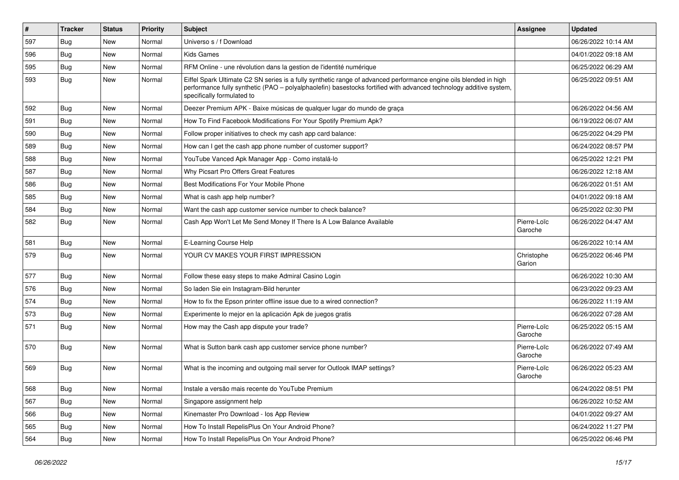| #   | <b>Tracker</b> | <b>Status</b> | <b>Priority</b> | <b>Subject</b>                                                                                                                                                                                                                                                        | <b>Assignee</b>        | <b>Updated</b>      |
|-----|----------------|---------------|-----------------|-----------------------------------------------------------------------------------------------------------------------------------------------------------------------------------------------------------------------------------------------------------------------|------------------------|---------------------|
| 597 | <b>Bug</b>     | New           | Normal          | Universo s / f Download                                                                                                                                                                                                                                               |                        | 06/26/2022 10:14 AM |
| 596 | Bug            | <b>New</b>    | Normal          | <b>Kids Games</b>                                                                                                                                                                                                                                                     |                        | 04/01/2022 09:18 AM |
| 595 | Bug            | New           | Normal          | RFM Online - une révolution dans la gestion de l'identité numérique                                                                                                                                                                                                   |                        | 06/25/2022 06:29 AM |
| 593 | Bug            | New           | Normal          | Eiffel Spark Ultimate C2 SN series is a fully synthetic range of advanced performance engine oils blended in high<br>performance fully synthetic (PAO - polyalphaolefin) basestocks fortified with advanced technology additive system,<br>specifically formulated to |                        | 06/25/2022 09:51 AM |
| 592 | Bug            | <b>New</b>    | Normal          | Deezer Premium APK - Baixe músicas de qualquer lugar do mundo de graça                                                                                                                                                                                                |                        | 06/26/2022 04:56 AM |
| 591 | Bug            | New           | Normal          | How To Find Facebook Modifications For Your Spotify Premium Apk?                                                                                                                                                                                                      |                        | 06/19/2022 06:07 AM |
| 590 | Bug            | <b>New</b>    | Normal          | Follow proper initiatives to check my cash app card balance:                                                                                                                                                                                                          |                        | 06/25/2022 04:29 PM |
| 589 | Bug            | <b>New</b>    | Normal          | How can I get the cash app phone number of customer support?                                                                                                                                                                                                          |                        | 06/24/2022 08:57 PM |
| 588 | Bug            | <b>New</b>    | Normal          | YouTube Vanced Apk Manager App - Como instalá-lo                                                                                                                                                                                                                      |                        | 06/25/2022 12:21 PM |
| 587 | Bug            | <b>New</b>    | Normal          | Why Picsart Pro Offers Great Features                                                                                                                                                                                                                                 |                        | 06/26/2022 12:18 AM |
| 586 | Bug            | <b>New</b>    | Normal          | Best Modifications For Your Mobile Phone                                                                                                                                                                                                                              |                        | 06/26/2022 01:51 AM |
| 585 | <b>Bug</b>     | New           | Normal          | What is cash app help number?                                                                                                                                                                                                                                         |                        | 04/01/2022 09:18 AM |
| 584 | Bug            | <b>New</b>    | Normal          | Want the cash app customer service number to check balance?                                                                                                                                                                                                           |                        | 06/25/2022 02:30 PM |
| 582 | Bug            | New           | Normal          | Cash App Won't Let Me Send Money If There Is A Low Balance Available                                                                                                                                                                                                  | Pierre-Loïc<br>Garoche | 06/26/2022 04:47 AM |
| 581 | Bug            | <b>New</b>    | Normal          | E-Learning Course Help                                                                                                                                                                                                                                                |                        | 06/26/2022 10:14 AM |
| 579 | Bug            | New           | Normal          | YOUR CV MAKES YOUR FIRST IMPRESSION                                                                                                                                                                                                                                   | Christophe<br>Garion   | 06/25/2022 06:46 PM |
| 577 | Bug            | <b>New</b>    | Normal          | Follow these easy steps to make Admiral Casino Login                                                                                                                                                                                                                  |                        | 06/26/2022 10:30 AM |
| 576 | Bug            | New           | Normal          | So laden Sie ein Instagram-Bild herunter                                                                                                                                                                                                                              |                        | 06/23/2022 09:23 AM |
| 574 | Bug            | New           | Normal          | How to fix the Epson printer offline issue due to a wired connection?                                                                                                                                                                                                 |                        | 06/26/2022 11:19 AM |
| 573 | <b>Bug</b>     | New           | Normal          | Experimente lo mejor en la aplicación Apk de juegos gratis                                                                                                                                                                                                            |                        | 06/26/2022 07:28 AM |
| 571 | Bug            | New           | Normal          | How may the Cash app dispute your trade?                                                                                                                                                                                                                              | Pierre-Loïc<br>Garoche | 06/25/2022 05:15 AM |
| 570 | Bug            | New           | Normal          | What is Sutton bank cash app customer service phone number?                                                                                                                                                                                                           | Pierre-Loïc<br>Garoche | 06/26/2022 07:49 AM |
| 569 | Bug            | <b>New</b>    | Normal          | What is the incoming and outgoing mail server for Outlook IMAP settings?                                                                                                                                                                                              | Pierre-Loïc<br>Garoche | 06/26/2022 05:23 AM |
| 568 | <b>Bug</b>     | New           | Normal          | Instale a versão mais recente do YouTube Premium                                                                                                                                                                                                                      |                        | 06/24/2022 08:51 PM |
| 567 | Bug            | New           | Normal          | Singapore assignment help                                                                                                                                                                                                                                             |                        | 06/26/2022 10:52 AM |
| 566 | Bug            | New           | Normal          | Kinemaster Pro Download - los App Review                                                                                                                                                                                                                              |                        | 04/01/2022 09:27 AM |
| 565 | Bug            | New           | Normal          | How To Install RepelisPlus On Your Android Phone?                                                                                                                                                                                                                     |                        | 06/24/2022 11:27 PM |
| 564 | <b>Bug</b>     | New           | Normal          | How To Install RepelisPlus On Your Android Phone?                                                                                                                                                                                                                     |                        | 06/25/2022 06:46 PM |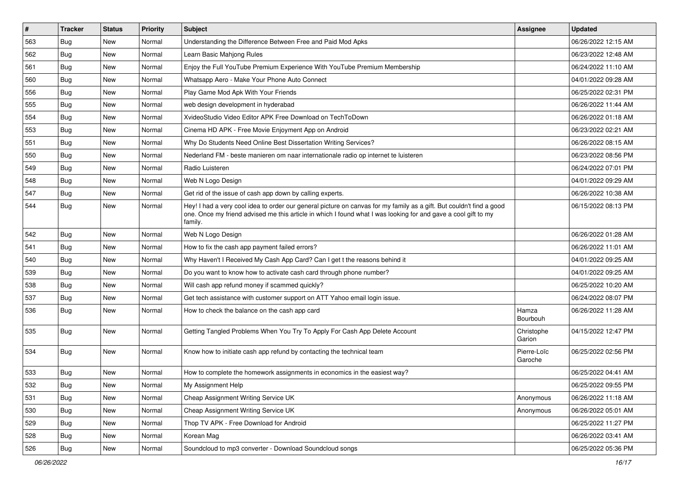| $\vert$ # | <b>Tracker</b> | <b>Status</b> | <b>Priority</b> | <b>Subject</b>                                                                                                                                                                                                                                    | Assignee               | <b>Updated</b>      |
|-----------|----------------|---------------|-----------------|---------------------------------------------------------------------------------------------------------------------------------------------------------------------------------------------------------------------------------------------------|------------------------|---------------------|
| 563       | Bug            | New           | Normal          | Understanding the Difference Between Free and Paid Mod Apks                                                                                                                                                                                       |                        | 06/26/2022 12:15 AM |
| 562       | Bug            | <b>New</b>    | Normal          | Learn Basic Mahjong Rules                                                                                                                                                                                                                         |                        | 06/23/2022 12:48 AM |
| 561       | Bug            | New           | Normal          | Enjoy the Full YouTube Premium Experience With YouTube Premium Membership                                                                                                                                                                         |                        | 06/24/2022 11:10 AM |
| 560       | <b>Bug</b>     | <b>New</b>    | Normal          | Whatsapp Aero - Make Your Phone Auto Connect                                                                                                                                                                                                      |                        | 04/01/2022 09:28 AM |
| 556       | Bug            | <b>New</b>    | Normal          | Play Game Mod Apk With Your Friends                                                                                                                                                                                                               |                        | 06/25/2022 02:31 PM |
| 555       | <b>Bug</b>     | <b>New</b>    | Normal          | web design development in hyderabad                                                                                                                                                                                                               |                        | 06/26/2022 11:44 AM |
| 554       | Bug            | New           | Normal          | XvideoStudio Video Editor APK Free Download on TechToDown                                                                                                                                                                                         |                        | 06/26/2022 01:18 AM |
| 553       | <b>Bug</b>     | New           | Normal          | Cinema HD APK - Free Movie Enjoyment App on Android                                                                                                                                                                                               |                        | 06/23/2022 02:21 AM |
| 551       | Bug            | New           | Normal          | Why Do Students Need Online Best Dissertation Writing Services?                                                                                                                                                                                   |                        | 06/26/2022 08:15 AM |
| 550       | Bug            | New           | Normal          | Nederland FM - beste manieren om naar internationale radio op internet te luisteren                                                                                                                                                               |                        | 06/23/2022 08:56 PM |
| 549       | <b>Bug</b>     | New           | Normal          | Radio Luisteren                                                                                                                                                                                                                                   |                        | 06/24/2022 07:01 PM |
| 548       | Bug            | New           | Normal          | Web N Logo Design                                                                                                                                                                                                                                 |                        | 04/01/2022 09:29 AM |
| 547       | Bug            | <b>New</b>    | Normal          | Get rid of the issue of cash app down by calling experts.                                                                                                                                                                                         |                        | 06/26/2022 10:38 AM |
| 544       | <b>Bug</b>     | New           | Normal          | Hey! I had a very cool idea to order our general picture on canvas for my family as a gift. But couldn't find a good<br>one. Once my friend advised me this article in which I found what I was looking for and gave a cool gift to my<br>family. |                        | 06/15/2022 08:13 PM |
| 542       | Bug            | New           | Normal          | Web N Logo Design                                                                                                                                                                                                                                 |                        | 06/26/2022 01:28 AM |
| 541       | Bug            | New           | Normal          | How to fix the cash app payment failed errors?                                                                                                                                                                                                    |                        | 06/26/2022 11:01 AM |
| 540       | <b>Bug</b>     | New           | Normal          | Why Haven't I Received My Cash App Card? Can I get t the reasons behind it                                                                                                                                                                        |                        | 04/01/2022 09:25 AM |
| 539       | Bug            | New           | Normal          | Do you want to know how to activate cash card through phone number?                                                                                                                                                                               |                        | 04/01/2022 09:25 AM |
| 538       | Bug            | New           | Normal          | Will cash app refund money if scammed quickly?                                                                                                                                                                                                    |                        | 06/25/2022 10:20 AM |
| 537       | Bug            | New           | Normal          | Get tech assistance with customer support on ATT Yahoo email login issue.                                                                                                                                                                         |                        | 06/24/2022 08:07 PM |
| 536       | Bug            | <b>New</b>    | Normal          | How to check the balance on the cash app card                                                                                                                                                                                                     | Hamza<br>Bourbouh      | 06/26/2022 11:28 AM |
| 535       | <b>Bug</b>     | New           | Normal          | Getting Tangled Problems When You Try To Apply For Cash App Delete Account                                                                                                                                                                        | Christophe<br>Garion   | 04/15/2022 12:47 PM |
| 534       | <b>Bug</b>     | New           | Normal          | Know how to initiate cash app refund by contacting the technical team                                                                                                                                                                             | Pierre-Loïc<br>Garoche | 06/25/2022 02:56 PM |
| 533       | <b>Bug</b>     | <b>New</b>    | Normal          | How to complete the homework assignments in economics in the easiest way?                                                                                                                                                                         |                        | 06/25/2022 04:41 AM |
| 532       | Bug            | New           | Normal          | My Assignment Help                                                                                                                                                                                                                                |                        | 06/25/2022 09:55 PM |
| 531       | <b>Bug</b>     | New           | Normal          | Cheap Assignment Writing Service UK                                                                                                                                                                                                               | Anonymous              | 06/26/2022 11:18 AM |
| 530       | Bug            | New           | Normal          | Cheap Assignment Writing Service UK                                                                                                                                                                                                               | Anonymous              | 06/26/2022 05:01 AM |
| 529       | <b>Bug</b>     | New           | Normal          | Thop TV APK - Free Download for Android                                                                                                                                                                                                           |                        | 06/25/2022 11:27 PM |
| 528       | <b>Bug</b>     | New           | Normal          | Korean Mag                                                                                                                                                                                                                                        |                        | 06/26/2022 03:41 AM |
| 526       | <b>Bug</b>     | New           | Normal          | Soundcloud to mp3 converter - Download Soundcloud songs                                                                                                                                                                                           |                        | 06/25/2022 05:36 PM |